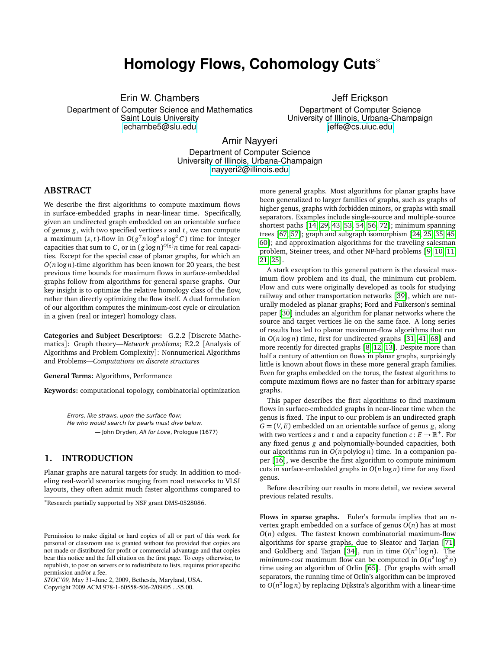# **Homology Flows, Cohomology Cuts**<sup>∗</sup>

Erin W. Chambers

Department of Computer Science and Mathematics Saint Louis University <echambe5@slu.edu>

Jeff Erickson Department of Computer Science University of Illinois, Urbana-Champaign <jeffe@cs.uiuc.edu>

Amir Nayyeri

Department of Computer Science University of Illinois, Urbana-Champaign <nayyeri2@illinois.edu>

## **ABSTRACT**

We describe the first algorithms to compute maximum flows in surface-embedded graphs in near-linear time. Specifically, given an undirected graph embedded on an orientable surface of genus *g*, with two specified vertices *s* and *t*, we can compute a maximum (*s*, *t*)-flow in  $O(g^7 n \log^2 n \log^2 C)$  time for integer capacities that sum to C, or in  $(g \log n)^{O(g)} n$  time for real capacities. Except for the special case of planar graphs, for which an *O*(*n* log *n*)-time algorithm has been known for 20 years, the best previous time bounds for maximum flows in surface-embedded graphs follow from algorithms for general sparse graphs. Our key insight is to optimize the relative homology class of the flow, rather than directly optimizing the flow itself. A dual formulation of our algorithm computes the minimum-cost cycle or circulation in a given (real or integer) homology class.

**Categories and Subject Descriptors:** G.2.2 [Discrete Mathematics]: Graph theory—*Network problems*; F.2.2 [Analysis of Algorithms and Problem Complexity]: Nonnumerical Algorithms and Problems—*Computations on discrete structures*

**General Terms:** Algorithms, Performance

**Keywords:** computational topology, combinatorial optimization

Errors, like straws, upon the surface flow; He who would search for pearls must dive below. — John Dryden, All for Love, Prologue (1677)

# **1. INTRODUCTION**

Planar graphs are natural targets for study. In addition to modeling real-world scenarios ranging from road networks to VLSI layouts, they often admit much faster algorithms compared to

*STOC'09,* May 31–June 2, 2009, Bethesda, Maryland, USA.

Copyright 2009 ACM 978-1-60558-506-2/09/05 ...\$5.00.

more general graphs. Most algorithms for planar graphs have been generalized to larger families of graphs, such as graphs of higher genus, graphs with forbidden minors, or graphs with small separators. Examples include single-source and multiple-source shortest paths [[14,](#page-7-0) [29,](#page-7-1) [43,](#page-7-2) [53,](#page-8-0) [54,](#page-8-1) [56,](#page-8-2) [72](#page-8-3)]; minimum spanning trees [[67,](#page-8-4) [57](#page-8-5)]; graph and subgraph isomorphism [[24,](#page-7-3) [25,](#page-7-4) [35,](#page-7-5) [45,](#page-8-6) [60](#page-8-7)]; and approximation algorithms for the traveling salesman problem, Steiner trees, and other NP-hard problems [[9,](#page-7-6) [10,](#page-7-7) [11,](#page-7-8) [21,](#page-7-9) [25](#page-7-4)].

A stark exception to this general pattern is the classical maximum flow problem and its dual, the minimum cut problem. Flow and cuts were originally developed as tools for studying railway and other transportation networks [[39](#page-7-10)], which are naturally modeled as planar graphs; Ford and Fulkerson's seminal paper [[30](#page-7-11)] includes an algorithm for planar networks where the source and target vertices lie on the same face. A long series of results has led to planar maximum-flow algorithms that run in *O*(*n* log *n*) time, first for undirected graphs [[31,](#page-7-12) [41,](#page-7-13) [68](#page-8-8)] and more recently for directed graphs [[8,](#page-7-14) [12,](#page-7-15) [13](#page-7-16)]. Despite more than half a century of attention on flows in planar graphs, surprisingly little is known about flows in these more general graph families. Even for graphs embedded on the torus, the fastest algorithms to compute maximum flows are no faster than for arbitrary sparse graphs.

This paper describes the first algorithms to find maximum flows in surface-embedded graphs in near-linear time when the genus is fixed. The input to our problem is an undirected graph  $G = (V, E)$  embedded on an orientable surface of genus *g*, along with two vertices *s* and *t* and a capacity function  $c: E \to \mathbb{R}^+$ . For any fixed genus *g* and polynomially-bounded capacities, both our algorithms run in *O*(*n* polylog *n*) time. In a companion paper [[16](#page-7-17)], we describe the first algorithm to compute minimum cuts in surface-embedded graphs in *O*(*n* log *n*) time for any fixed genus.

Before describing our results in more detail, we review several previous related results.

**Flows in sparse graphs.** Euler's formula implies that an *n*vertex graph embedded on a surface of genus *O*(*n*) has at most *O*(*n*) edges. The fastest known combinatorial maximum-flow algorithms for sparse graphs, due to Sleator and Tarjan [[71](#page-8-9)] and Goldberg and Tarjan [[34](#page-7-18)], run in time  $O(n^2 \log n)$ . The *minimum-cost* maximum flow can be computed in  $O(n^2 \log^2 n)$ time using an algorithm of Orlin [[65](#page-8-10)]. (For graphs with small separators, the running time of Orlin's algorithm can be improved to *O*(*n* 2 log *n*) by replacing Dijkstra's algorithm with a linear-time

<sup>∗</sup>Research partially supported by NSF grant DMS-0528086.

Permission to make digital or hard copies of all or part of this work for personal or classroom use is granted without fee provided that copies are not made or distributed for profit or commercial advantage and that copies bear this notice and the full citation on the first page. To copy otherwise, to republish, to post on servers or to redistribute to lists, requires prior specific permission and/or a fee.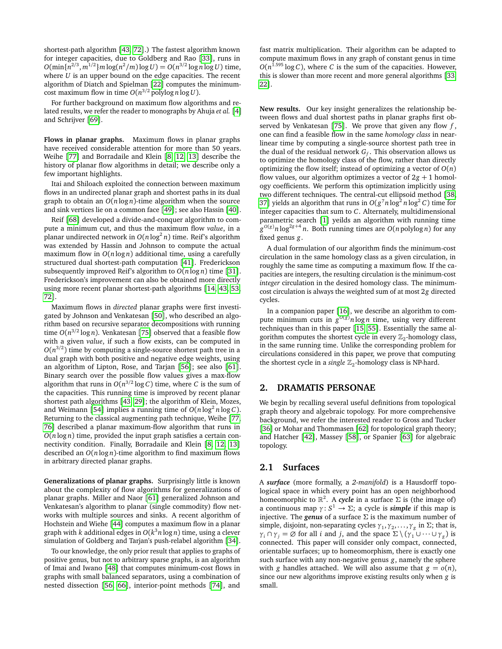shortest-path algorithm [[43,](#page-7-2) [72](#page-8-3)].) The fastest algorithm known for integer capacities, due to Goldberg and Rao [[33](#page-7-19)], runs in  $O(\min\{n^{2/3}, m^{1/2}\}m \log(n^2/m) \log U) = O(n^{3/2} \log n \log U)$  time, where *U* is an upper bound on the edge capacities. The recent algorithm of Diatch and Spielman [[22](#page-7-20)] computes the minimumcost maximum flow in time  $O(n^{3/2} \text{ polylog } n \log U)$ .

For further background on maximum flow algorithms and related results, we refer the reader to monographs by Ahuja *et al.* [[4](#page-6-0)] and Schrijver [[69](#page-8-11)].

**Flows in planar graphs.** Maximum flows in planar graphs have received considerable attention for more than 50 years. Weihe [[77](#page-8-12)] and Borradaile and Klein [[8,](#page-7-14) [12,](#page-7-15) [13](#page-7-16)] describe the history of planar flow algorithms in detail; we describe only a few important highlights.

Itai and Shiloach exploited the connection between maximum flows in an undirected planar graph and shortest paths in its dual graph to obtain an *O*(*n* log *n*)-time algorithm when the source and sink vertices lie on a common face [[49](#page-8-13)]; see also Hassin [[40](#page-7-21)].

Reif [[68](#page-8-8)] developed a divide-and-conquer algorithm to compute a minimum cut, and thus the maximum flow *value*, in a planar undirected network in  $O(n\log^2 n)$  time. Reif's algorithm was extended by Hassin and Johnson to compute the actual maximum flow in  $O(n \log n)$  additional time, using a carefully structured dual shortest-path computation [[41](#page-7-13)]. Frederickson subsequently improved Reif's algorithm to  $O(n \log n)$  time [[31](#page-7-12)]. Frederickson's improvement can also be obtained more directly using more recent planar shortest-path algorithms [[14,](#page-7-0) [43,](#page-7-2) [53,](#page-8-0) [72](#page-8-3)].

Maximum flows in *directed* planar graphs were first investigated by Johnson and Venkatesan [[50](#page-8-14)], who described an algorithm based on recursive separator decompositions with running time  $O(n^{3/2} \log n)$ . Venkatesan [[75](#page-8-15)] observed that a feasible flow with a given *value*, if such a flow exists, can be computed in  $O(n^{3/2})$  time by computing a single-source shortest path tree in a dual graph with both positive and negative edge weights, using an algorithm of Lipton, Rose, and Tarjan [[56](#page-8-2)]; see also [[61](#page-8-16)]. Binary search over the possible flow values gives a max-flow algorithm that runs in  $O(n^{3/2} \log C)$  time, where *C* is the sum of the capacities. This running time is improved by recent planar shortest path algorithms [[43,](#page-7-2) [29](#page-7-1)]; the algorithm of Klein, Mozes, and Weimann [[54](#page-8-1)] implies a running time of  $O(n\log^2 n\log C)$ . Returning to the classical augmenting path technique, Weihe [[77,](#page-8-12) [76](#page-8-17)] described a planar maximum-flow algorithm that runs in *O*(*n* log *n*) time, provided the input graph satisfies a certain connectivity condition. Finally, Borradaile and Klein [[8,](#page-7-14) [12,](#page-7-15) [13](#page-7-16)] described an *O*(*n* log *n*)-time algorithm to find maximum flows in arbitrary directed planar graphs.

**Generalizations of planar graphs.** Surprisingly little is known about the complexity of flow algorithms for generalizations of planar graphs. Miller and Naor [[61](#page-8-16)] generalized Johnson and Venkatesan's algorithm to planar (single commodity) flow networks with multiple sources and sinks. A recent algorithm of Hochstein and Wiehe [[44](#page-8-18)] computes a maximum flow in a planar graph with *k* additional edges in *O*(*k* <sup>3</sup>*n* log *n*) time, using a clever simulation of Goldberg and Tarjan's push-relabel algorithm [[34](#page-7-18)].

To our knowledge, the only prior result that applies to graphs of positive genus, but not to arbitrary sparse graphs, is an algorithm of Imai and Iwano [[48](#page-8-19)] that computes minimum-cost flows in graphs with small balanced separators, using a combination of nested dissection [[56,](#page-8-2) [66](#page-8-20)], interior-point methods [[74](#page-8-21)], and

fast matrix multiplication. Their algorithm can be adapted to compute maximum flows in any graph of constant genus in time  $O(n^{1.595} \log C)$ , where *C* is the sum of the capacities. However, this is slower than more recent and more general algorithms [[33,](#page-7-19) [22](#page-7-20)].

**New results.** Our key insight generalizes the relationship between flows and dual shortest paths in planar graphs first observed by Venkatesan [[75](#page-8-15)]. We prove that given any flow *f* , one can find a feasible flow in the same *homology class* in nearlinear time by computing a single-source shortest path tree in the dual of the residual network *G<sup>f</sup>* . This observation allows us to optimize the homology class of the flow, rather than directly optimizing the flow itself; instead of optimizing a vector of  $O(n)$ flow values, our algorithm optimizes a vector of  $2g + 1$  homology coefficients. We perform this optimization implicitly using two different techniques. The central-cut ellipsoid method [[38,](#page-7-22) [37](#page-7-23)] yields an algorithm that runs in  $O(g^7n\log^2 n\log^2 C)$  time for integer capacities that sum to *C*. Alternately, multidimensional parametric search [[1](#page-6-1)] yeilds an algorithm with running time *g <sup>O</sup>*(*g*)*n* log<sup>2</sup>*g*+<sup>4</sup> *n*. Both running times are *O*(*n* polylog *n*) for any fixed genus *g*.

A dual formulation of our algorithm finds the minimum-cost circulation in the same homology class as a given circulation, in roughly the same time as computing a maximum flow. If the capacities are integers, the resulting circulation is the minimum-cost *integer* circulation in the desired homology class. The minimumcost circulation is always the weighted sum of at most 2*g* directed cycles.

In a companion paper [[16](#page-7-17)], we describe an algorithm to compute minimum cuts in  $g^{O(g)}n \log n$  time, using very different techniques than in this paper [[15,](#page-7-24) [55](#page-8-22)]. Essentially the same algorithm computes the shortest cycle in every  $\mathbb{Z}_2$ -homology class, in the same running time. Unlike the corresponding problem for circulations considered in this paper, we prove that computing the shortest cycle in a *single*  $\mathbb{Z}_2$ -homology class is NP-hard.

## **2. DRAMATIS PERSONAE**

We begin by recalling several useful definitions from topological graph theory and algebraic topology. For more comprehensive background, we refer the interested reader to Gross and Tucker [[36](#page-7-25)] or Mohar and Thommasen [[62](#page-8-23)] for topological graph theory; and Hatcher [[42](#page-7-26)], Massey [[58](#page-8-24)], or Spanier [[63](#page-8-25)] for algebraic topology.

## **2.1 Surfaces**

A *surface* (more formally, a *2-manifold*) is a Hausdorff topological space in which every point has an open neighborhood homeomorphic to  $\mathbb{R}^2$ . A *cycle* in a surface  $\Sigma$  is (the image of) a continuous map  $\gamma: S^1 \to \Sigma$ ; a cycle is *simple* if this map is injective. The *genus* of a surface  $\Sigma$  is the maximum number of simple, disjoint, non-separating cycles  $\gamma_1, \gamma_2, \ldots, \gamma_g$  in  $\Sigma$ ; that is,  $\gamma_i \cap \gamma_j = \emptyset$  for all *i* and *j*, and the space  $\Sigma \setminus (\gamma_1 \cup \cdots \cup \gamma_g)$  is connected. This paper will consider only compact, connected, orientable surfaces; up to homeomorphism, there is exactly one such surface with any non-negative genus *g*, namely the sphere with *g* handles attached. We will also assume that  $g = o(n)$ , since our new algorithms improve existing results only when *g* is small.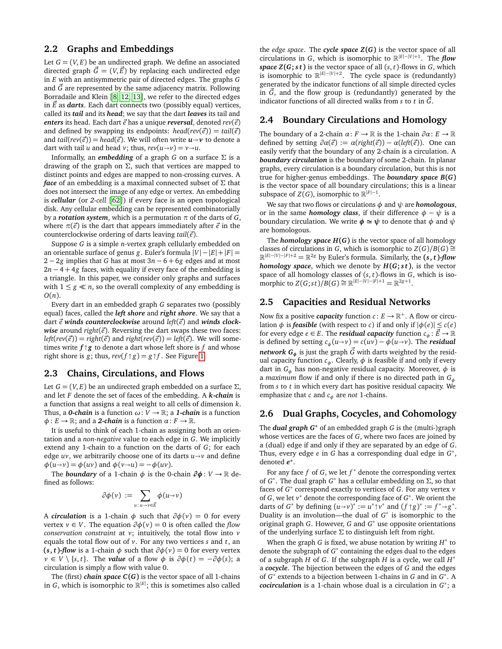# **2.2 Graphs and Embeddings**

Let  $G = (V, E)$  be an undirected graph. We define an associated directed graph  $\vec{G} = (V, \vec{E})$  by replacing each undirected edge in *E* with an antisymmetric pair of directed edges. The graphs *G* and *G~* are represented by the same adjacency matrix. Following Borradaile and Klein [[8,](#page-7-14) [12,](#page-7-15) [13](#page-7-16)], we refer to the directed edges in *E~* as *darts*. Each dart connects two (possibly equal) vertices, called its *tail* and its *head*; we say that the dart *leaves* its tail and *enters* its head. Each dart  $\vec{e}$  has a unique *reversal*, denoted  $rev(\vec{e})$ and defined by swapping its endpoints:  $head(rev(\vec{e})) = tail(\vec{e})$ and *tail*( $rev(\vec{e})$ ) = *head*( $\vec{e}$ ). We will often write  $u \rightarrow v$  to denote a dart with tail *u* and head *v*; thus,  $rev(u \rightarrow v) = v \rightarrow u$ .

Informally, an *embedding* of a graph *G* on a surface  $\Sigma$  is a drawing of the graph on  $\Sigma$ , such that vertices are mapped to distinct points and edges are mapped to non-crossing curves. A *face* of an embedding is a maximal connected subset of Σ that does not intersect the image of any edge or vertex. An embedding is *cellular* (or *2-cell* [[62](#page-8-23)]) if every face is an open topological disk. Any cellular embedding can be represented combinatorially by a *rotation system*, which is a permutation *π* of the darts of *G*, where  $\pi(\vec{e})$  is the dart that appears immediately after  $\vec{e}$  in the counterclockwise ordering of darts leaving *tail*(*~e*).

Suppose *G* is a simple *n*-vertex graph cellularly embedded on an orientable surface of genus *g*. Euler's formula |*V*|−|*E*|+|*F*| = 2 − 2*g* implies that *G* has at most 3*n* − 6 + 6*g* edges and at most 2*n* − 4 + 4*g* faces, with equality if every face of the embedding is a triangle. In this paper, we consider only graphs and surfaces with  $1 \leq g \ll n$ , so the overall complexity of any embedding is *O*(*n*).

Every dart in an embedded graph *G* separates two (possibly equal) faces, called the *left shore* and *right shore*. We say that a dart  $\vec{e}$  *winds counterclockwise* around *left*( $\vec{e}$ ) and *winds clockwise* around *right* $(\vec{e})$ . Reversing the dart swaps these two faces:  $left(rev(\vec{e})) = right(\vec{e})$  and  $right(rev(\vec{e})) = left(\vec{e})$ . We will sometimes write  $f \uparrow g$  to denote a dart whose left shore is *f* and whose right shore is *g*; thus  $\text{rev}(f \uparrow g) = g \uparrow f$ . See Figure 1 right shore is  $g$ ; thus,  $rev(f \uparrow g) = g \uparrow f$ . See Figure [1.](#page-3-0)

## **2.3 Chains, Circulations, and Flows**

Let  $G = (V, E)$  be an undirected graph embedded on a surface  $\Sigma$ , and let *F* denote the set of faces of the embedding. A *k-chain* is a function that assigns a real weight to all cells of dimension *k*. Thus, a **0-chain** is a function  $\omega: V \to \mathbb{R}$ ; a **1-chain** is a function  $\phi: E \to \mathbb{R}$ ; and a 2-chain is a function  $\alpha: F \to \mathbb{R}$ .

It is useful to think of each 1-chain as assigning both an orientation and a *non-negative* value to each edge in *G*. We implicitly extend any 1-chain to a function on the darts of *G*; for each edge  $uv$ , we arbitrarily choose one of its darts  $u \rightarrow v$  and define  $\phi(u \rightarrow v) = \phi(uv)$  and  $\phi(v \rightarrow u) = -\phi(uv)$ .

The *boundary* of a 1-chain  $\phi$  is the 0-chain  $\partial \phi : V \to \mathbb{R}$  defined as follows:

$$
\partial \phi(v) := \sum_{u \colon u \to v \in \vec{E}} \phi(u \to v)
$$

A *circulation* is a 1-chain  $\phi$  such that  $\partial \phi(v) = 0$  for every vertex  $v \in V$ . The equation  $\partial \phi(v) = 0$  is often called the *flow conservation constraint* at *v*; intuitively, the total flow into *v* equals the total flow out of *v*. For any two vertices *s* and *t*, an **(***s***,** *t* **)***-flow* is a 1-chain *φ* such that *∂φ*(*v*) = 0 for every vertex  $v \in V \setminus \{s, t\}$ . The *value* of a flow  $\phi$  is  $\partial \phi(t) = -\partial \phi(s)$ ; a circulation is simply a flow with value 0.

The (first) *chain space*  $C(G)$  is the vector space of all 1-chains in *G*, which is isomorphic to  $\mathbb{R}^{|E|}$ ; this is sometimes also called

the *edge space*. The *cycle space Z***(***G***)** is the vector space of all circulations in *G*, which is isomorphic to  $\mathbb{R}^{|E| - |V| + 1}$ . The *flow space*  $Z(G; st)$  is the vector space of all  $(s, t)$ -flows in *G*, which is isomorphic to  $\mathbb{R}^{|E|-|V|+2}$ . The cycle space is (redundantly) generated by the indicator functions of all simple directed cycles in  $\vec{G}$ , and the flow group is (redundantly) generated by the indicator functions of all directed walks from  $s$  to  $t$  in  $\vec{G}$ .

#### **2.4 Boundary Circulations and Homology**

The boundary of a 2-chain  $\alpha: F \to \mathbb{R}$  is the 1-chain  $\partial \alpha: E \to \mathbb{R}$ defined by setting  $\partial \alpha(\vec{e}) := \alpha(\text{right}(\vec{e})) - \alpha(\text{left}(\vec{e}))$ . One can easily verify that the boundary of any 2-chain is a circulation. A *boundary circulation* is the boundary of some 2-chain. In planar graphs, every circulation is a boundary circulation, but this is not true for higher-genus embeddings. The *boundary space B***(***G***)** is the vector space of all boundary circulations; this is a linear subspace of  $Z(G)$ , isomorphic to  $\mathbb{R}^{|F|-1}$ .

We say that two flows or circulations *φ* and *ψ* are *homologous*, or in the same *homology class*, if their difference  $\phi - \psi$  is a boundary circulation. We write  $\phi \approx \psi$  to denote that  $\phi$  and  $\psi$ are homologous.

The **homology space**  $H(G)$  is the vector space of all homology classes of circulations in *G*, which is isomorphic to  $Z(G)/B(G) \cong$ R <sup>|</sup>*E*|−|*V*|−|*F*|+<sup>2</sup> <sup>=</sup> <sup>R</sup> <sup>2</sup>*<sup>g</sup>* by Euler's formula. Similarly, the **(***s***,** *t* **)***-flow homology space*, which we denote by *H***(***G***;** *s t* **)**, is the vector space of all homology classes of  $(s, t)$ -flows in *G*, which is isomorphic to  $Z(G; st)/B(G) \cong \mathbb{R}^{|E| - |V| - |F| + 1} = \mathbb{R}^{2g+1}$ .

# **2.5 Capacities and Residual Networks**

Now fix a positive *capacity* function  $c: E \to \mathbb{R}^+$ . A flow or circulation  $\phi$  is *feasible* (with respect to *c*) if and only if  $|\phi(e)| \leq c(e)$ for every edge *e* ∈ *E*. The *residual capacity* function  $c_{\phi}$ :  $\vec{E} \rightarrow \mathbb{R}$ is defined by setting  $c_{\phi}(u \rightarrow v) = c(uv) - \phi(u \rightarrow v)$ . The *residual network*  $G_{\phi}$  is just the graph  $\vec{G}$  with darts weighted by the residual capacity function  $c_{\phi}$ . Clearly,  $\phi$  is feasible if and only if every dart in *G<sup>φ</sup>* has non-negative residual capacity. Moreover, *φ* is a *maximum* flow if and only if there is no directed path in *G<sup>φ</sup>* from *s* to *t* in which every dart has positive residual capacity. We emphasize that *c* and *c<sup>φ</sup>* are *not* 1-chains.

#### **2.6 Dual Graphs, Cocycles, and Cohomology**

The *dual graph G***<sup>∗</sup>** of an embedded graph *G* is the (multi-)graph whose vertices are the faces of *G*, where two faces are joined by a (dual) edge if and only if they are separated by an edge of *G*. Thus, every edge *e* in *G* has a corresponding dual edge in *G* ∗ , denoted *e* **∗** .

For any face *f* of *G*, we let *f* <sup>∗</sup> denote the corresponding vertex of  $G^*$ . The dual graph  $G^*$  has a cellular embedding on  $\Sigma$ , so that faces of  $G^*$  correspond exactly to vertices of  $G$ . For any vertex *v* of *G*, we let  $v^*$  denote the corresponding face of  $G^*$ . We orient the darts of *G*<sup>\*</sup> by defining  $(u \rightarrow v)^* := u^* \uparrow v^*$  and  $(f \uparrow g)^* := f^* \rightarrow g^*$ .<br>Duality is an involution—the dual of *G*<sup>\*</sup> is isomorphic to the Duality is an involution—the dual of  $G^*$  is isomorphic to the original graph *G*. However, *G* and *G* <sup>∗</sup> use opposite orientations of the underlying surface  $\Sigma$  to distinguish left from right.

When the graph *G* is fixed, we abuse notation by writing *H* ∗ to denote the subgraph of G<sup>\*</sup> containing the edges dual to the edges of a subgraph *H* of *G*. If the subgraph *H* is a cycle, we call *H* ∗ a *cocycle*. The bijection between the edges of *G* and the edges of *G*<sup>∗</sup> extends to a bijection between 1-chains in *G* and in *G*<sup>∗</sup>. A *cocirculation* is a 1-chain whose dual is a circulation in *G* ∗ ; a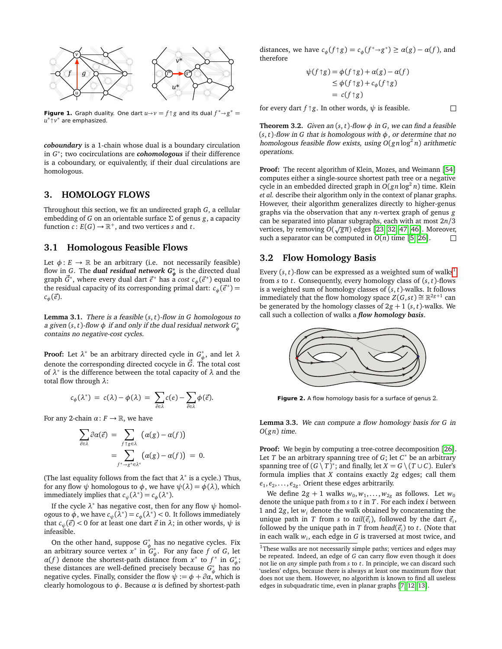

<span id="page-3-0"></span>**Figure 1.** Graph duality. One dart  $u \rightarrow v = f \uparrow g$  and its dual  $f^* \rightarrow g^* = u^* \uparrow v^*$  are emphasized *u* ∗-*v* <sup>∗</sup> are emphasized.

*coboundary* is a 1-chain whose dual is a boundary circulation in *G* ∗ ; two cocirculations are *cohomologous* if their difference is a coboundary, or equivalently, if their dual circulations are homologous.

## **3. HOMOLOGY FLOWS**

Throughout this section, we fix an undirected graph *G*, a cellular embedding of *G* on an orientable surface Σ of genus *g*, a capacity function  $c: E(G) \to \mathbb{R}^+$ , and two vertices *s* and *t*.

# **3.1 Homologous Feasible Flows**

Let  $\phi: E \to \mathbb{R}$  be an arbitrary (i.e. not necessarily feasible) flow in *G*. The *dual residual network*  $G^*_{\phi}$  is the directed dual graph  $\vec{G}^*$ , where every dual dart  $\vec{e}^*$  has a *cost c<sub>φ</sub>*( $\vec{e}^*$ ) equal to the residual capacity of its corresponding primal dart:  $c_{\phi}(\vec{e}^*)$  =  $c_{\phi}(\vec{e}).$ 

**Lemma 3.1.** There is a feasible (*s*, *t*)-flow in *G* homologous to a given (s, *t*)-flow  $\phi$  if and only if the dual residual network  $G^*_{\phi}$ contains no negative-cost cycles.

**Proof:** Let  $\lambda^*$  be an arbitrary directed cycle in  $G^*_{\phi}$ , and let  $\lambda$ denote the corresponding directed cocycle in  $\vec{G}$ . The total cost of *λ* ∗ is the difference between the total capacity of *λ* and the total flow through *λ*:

$$
c_{\phi}(\lambda^*) = c(\lambda) - \phi(\lambda) = \sum_{\vec{e} \in \lambda} c(e) - \sum_{\vec{e} \in \lambda} \phi(\vec{e}).
$$

For any 2-chain  $\alpha: F \to \mathbb{R}$ , we have

$$
\sum_{\vec{e}\in\lambda}\partial\alpha(\vec{e}) = \sum_{f\uparrow g\in\lambda} (\alpha(g)-\alpha(f))
$$
  
= 
$$
\sum_{f^*\to g^*\in\lambda^*} (\alpha(g)-\alpha(f)) = 0.
$$

(The last equality follows from the fact that  $\lambda^*$  is a cycle.) Thus, for any flow  $\psi$  homologous to  $\phi$ , we have  $\psi(\lambda) = \phi(\lambda)$ , which immediately implies that  $c_{\psi}(\lambda^*) = c_{\phi}(\lambda^*)$ .

If the cycle *λ* <sup>∗</sup> has negative cost, then for any flow *ψ* homologous to  $\dot{\phi}$ , we have  $c_{\psi}(\lambda^*) = c_{\phi}(\lambda^*) < 0$ . It follows immediately that  $c_{\psi}(\vec{e})$  < 0 for at least one dart  $\vec{e}$  in  $\lambda$ ; in other words,  $\psi$  is infeasible.

On the other hand, suppose  $G^*_{\phi}$  has no negative cycles. Fix an arbitrary source vertex  $x^*$  in  $G^*_{\phi}$ . For any face  $f$  of  $G$ , let *α*(*f*) denote the shortest-path distance from  $x^*$  to  $f^*$  in  $G^*_{\phi}$ ; these distances are well-defined precisely because  $G^*_{\phi}$  has no negative cycles. Finally, consider the flow  $\psi := \phi + \partial \alpha$ , which is clearly homologous to  $\phi$ . Because  $\alpha$  is defined by shortest-path

distances, we have  $c_{\phi}(f \uparrow g) = c_{\phi}(f^* \rightarrow g^*) \ge \alpha(g) - \alpha(f)$ , and therefore therefore

$$
\psi(f \uparrow g) = \phi(f \uparrow g) + \alpha(g) - \alpha(f)
$$
  
\n
$$
\leq \phi(f \uparrow g) + c_{\phi}(f \uparrow g)
$$
  
\n
$$
= c(f \uparrow g)
$$

 $\Box$ 

for every dart  $f \uparrow g$ . In other words,  $\psi$  is feasible.

**Theorem 3.2.** Given an  $(s, t)$ -flow  $\phi$  in *G*, we can find a feasible (*s*, *t*)-flow in *G* that is homologous with *φ*, or determine that no homologous feasible flow exists, using *O*(*gn* log<sup>2</sup> *n*) arithmetic operations.

**Proof:** The recent algorithm of Klein, Mozes, and Weimann [[54](#page-8-1)] computes either a single-source shortest path tree or a negative cycle in an embedded directed graph in *O*(*gn* log<sup>2</sup> *n*) time. Klein *et al.* describe their algorithm only in the context of planar graphs. However, their algorithm generalizes directly to higher-genus graphs via the observation that any *n*-vertex graph of genus *g* can be separated into planar subgraphs, each with at most 2*n/*3 can be separated into pianar subgraphs, each with at most 2n/3<br>vertices, by removing  $O(\sqrt{gn})$  edges [[23,](#page-7-27) [32,](#page-7-28) [47,](#page-8-26) [46](#page-8-27)]. Moreover, such a separator can be computed in  $O(n)$  time [[5,](#page-6-2) [26](#page-7-29)].

## **3.2 Flow Homology Basis**

Every  $(s, t)$ -flow can be expressed as a weighted sum of walks<sup>[1](#page-3-1)</sup> from *s* to *t*. Consequently, every homology class of (*s*, *t*)-flows is a weighted sum of homology classes of (*s*, *t*)-walks. It follows immediately that the flow homology space  $Z(G, st) \cong \mathbb{R}^{2g+1}$  can immediately that the flow homology space  $Z(G, st) \cong \mathbb{R}^{2g+1}$ be generated by the homology classes of  $2g + 1$  (*s*, *t*)-walks. We call such a collection of walks a *flow homology basis*.



**Figure 2.** A flow homology basis for a surface of genus 2.

<span id="page-3-2"></span>**Lemma 3.3.** We can compute a flow homology basis for *G* in *O*(*gn*) time.

**Proof:** We begin by computing a tree-cotree decomposition [[26](#page-7-29)]. Let *T* be an arbitrary spanning tree of *G*; let *C* <sup>∗</sup> be an arbitrary spanning tree of  $(G \setminus T)^*$ ; and finally, let  $X = G \setminus (T \cup C)$ . Euler's formula implies that *X* contains exactly 2*g* edges; call them  $e_1, e_2, \ldots, e_{2g}$ . Orient these edges arbitrarily.

We define  $2g + 1$  walks  $w_0, w_1, \ldots, w_{2g}$  as follows. Let  $w_0$ denote the unique path from *s* to *t* in *T*. For each index *i* between 1 and 2*g*, let *w<sup>i</sup>* denote the walk obtained by concatenating the unique path in *T* from *s* to *tail*( $\vec{e}_i$ ), followed by the dart  $\vec{e}_i$ , followed by the unique path in  $T$  from  $head(\vec{e}_i)$  to  $t$ . (Note that in each walk *w<sup>i</sup>* , each edge in *G* is traversed at most twice, and

<span id="page-3-1"></span> $^{\rm 1}$  These walks are not necessarily simple paths; vertices and edges may be repeated. Indeed, an edge of *G* can carry flow even though it does not lie on *any* simple path from *s* to *t*. In principle, we can discard such 'useless' edges, because there is always at least one maximum flow that does not use them. However, no algorithm is known to find all useless edges in subquadratic time, even in planar graphs [[7,](#page-7-30) [12,](#page-7-15) [13](#page-7-16)].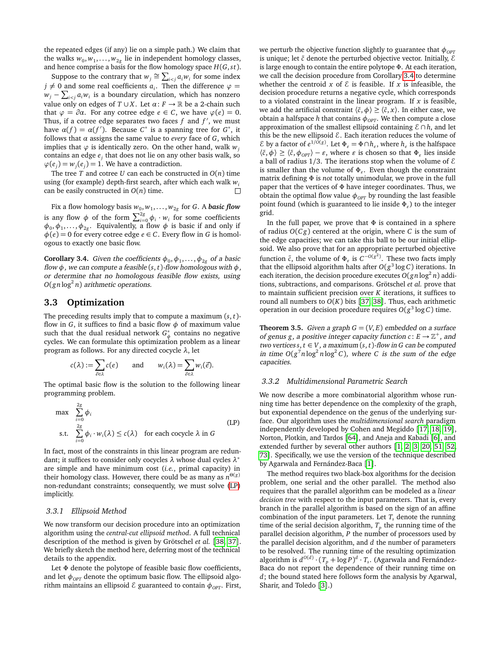the repeated edges (if any) lie on a simple path.) We claim that the walks  $w_0, w_1, \ldots, w_{2g}$  lie in independent homology classes, and hence comprise a basis for the flow homology space *H*(*G*,*s t*).

Suppose to the contrary that  $w_j \cong \sum_{i \leq j} a_i w_i$  for some index  $j \neq 0$  and some real coefficients  $a_i$ . Then the difference  $\varphi =$  $w_j - \sum_{i < j} a_i w_i$  is a boundary circulation, which has nonzero value only on edges of  $T \cup X$ . Let  $\alpha: F \to \mathbb{R}$  be a 2-chain such that  $\varphi = \partial \alpha$ . For any cotree edge  $e \in C$ , we have  $\varphi(e) = 0$ . Thus, if a cotree edge separates two faces  $f$  and  $f'$ , we must have  $\alpha(f) = \alpha(f')$ . Because  $C^*$  is a spanning tree for  $G^*$ , it follows that  $\alpha$  assigns the same value to *every* face of  $G$ , which implies that  $\varphi$  is identically zero. On the other hand, walk  $w_i$ contains an edge *e<sup>j</sup>* that does not lie on any other basis walk, so  $\varphi(e_j) = w_j(e_j) = 1$ . We have a contradiction.

The tree  $T$  and cotree  $U$  can each be constructed in  $O(n)$  time using (for example) depth-first search, after which each walk *w<sup>i</sup>* can be easily constructed in *O*(*n*) time.  $\Box$ 

Fix a flow homology basis  $w_0, w_1, \ldots, w_{2g}$  for  $G.$  A  $\bm{basic}$  flow is any flow  $\phi$  of the form  $\sum_{i=0}^{2g} \phi_i \cdot w_i$  for some coefficients  $\phi_0, \phi_1, \ldots, \phi_{2g}$ . Equivalently, a flow  $\phi$  is basic if and only if  $\phi$ (*e*) = 0 for every cotree edge *e*  $\in$  *C*. Every flow in *G* is homologous to exactly one basic flow.

<span id="page-4-1"></span>**Corollary 3.4.** Given the coefficients  $\phi_0, \phi_1, \ldots, \phi_{2g}$  of a basic flow *φ*, we can compute a feasible (*s*, *t*)-flow homologous with *φ*, or determine that no homologous feasible flow exists, using  $O(gn\log^2 n)$  arithmetic operations.

# **3.3 Optimization**

The preceding results imply that to compute a maximum (*s*, *t*) flow in *G*, it suffices to find a basic flow  $\phi$  of maximum value such that the dual residual network  $G^*_{\phi}$  contains no negative cycles. We can formulate this optimization problem as a linear program as follows. For any directed cocycle *λ*, let

$$
c(\lambda) := \sum_{\vec{e} \in \lambda} c(e) \quad \text{and} \quad w_i(\lambda) = \sum_{\vec{e} \in \lambda} w_i(\vec{e}).
$$

The optimal basic flow is the solution to the following linear programming problem.

$$
\max \sum_{i=0}^{2g} \phi_i
$$
\n
$$
\text{s.t. } \sum_{i=0}^{2g} \phi_i \cdot w_i(\lambda) \le c(\lambda) \quad \text{for each cocycle } \lambda \text{ in } G
$$
\n
$$
(LP)
$$

In fact, most of the constraints in this linear program are redundant; it suffices to consider only cocycles *λ* whose dual cycles *λ* ∗ are simple and have minimum cost (*i.e.*, primal capacity) in their homology class. However, there could be as many as *n* Θ(*g*) non-redundant constraints; consequently, we must solve [\(LP\)](#page-4-0) implicitly.

#### *3.3.1 Ellipsoid Method*

We now transform our decision procedure into an optimization algorithm using the *central-cut ellipsoid method*. A full technical description of the method is given by Grötschel *et al.* [[38,](#page-7-22) [37](#page-7-23)]. We briefly sketch the method here, deferring most of the technical details to the appendix.

Let Φ denote the polytope of feasible basic flow coefficients, and let  $\phi_{OPT}$  denote the optimum basic flow. The ellipsoid algorithm maintains an ellipsoid  $ε$  guaranteed to contain  $φ_{OPT}$ . First, we perturb the objective function slightly to guarantee that  $\phi_{OPT}$ is unique; let ˜*c* denote the perturbed objective vector. Initially, E is large enough to contain the entire polytope Φ. At each iteration, we call the decision procedure from Corollary [3.4](#page-4-1) to determine whether the centroid  $x$  of  $\epsilon$  is feasible. If  $x$  is infeasible, the decision procedure returns a negative cycle, which corresponds to a violated constraint in the linear program. If *x* is feasible, we add the artificial constraint  $\langle \tilde{c}, \phi \rangle \geq \langle \tilde{c}, x \rangle$ . In either case, we obtain a halfspace *h* that contains  $\phi_{OPT}$ . We then compute a close approximation of the smallest ellipsoid containing  $\mathcal{E} \cap h$ , and let this be the new ellipsoid  $\mathcal E$ . Each iteration reduces the volume of  $\mathcal E$  by a factor of  $e^{1/\overline{O}(g)}$ . Let  $\Phi_{\varepsilon} = \Phi \cap h_{\varepsilon}$ , where  $h_{\varepsilon}$  is the halfspace  $\langle \tilde{c}, \phi \rangle \geq \langle \tilde{c}, \phi_{OPT} \rangle - \varepsilon$ , where  $\varepsilon$  is chosen so that  $\Phi_{\varepsilon}$  lies inside a ball of radius  $1/3$ . The iterations stop when the volume of  $\mathcal E$ is smaller than the volume of  $\Phi_{\varepsilon}$ . Even though the constraint matrix defining Φ is *not* totally unimodular, we prove in the full paper that the vertices of Φ have integer coordinates. Thus, we obtain the optimal flow value  $\phi_{OPT}$  by rounding the last feasible point found (which is guaranteed to lie inside Φ*"* ) to the integer grid.

In the full paper, we prove that  $\Phi$  is contained in a sphere of radius *O*(*C g*) centered at the origin, where *C* is the sum of the edge capacities; we can take this ball to be our initial ellipsoid. We also prove that for an appropriate perturbed objective function  $\tilde{c}$ , the volume of  $\Phi_{\varepsilon}$  is  $C^{-O(g^2)}$ . These two facts imply that the ellipsoid algorithm halts after  $O(g^3 \log C)$  iterations. In each iteration, the decision procedure executes  $O(gn\log^2 n)$  additions, subtractions, and comparisons. Grötschel *et al.* prove that to maintain sufficient precision over *K* iterations, it suffices to round all numbers to  $O(K)$  bits [[37,](#page-7-23) [38](#page-7-22)]. Thus, each arithmetic operation in our decision procedure requires  $O(g^3 \log C)$  time.

**Theorem 3.5.** Given a graph  $G = (V, E)$  embedded on a surface of genus *g*, a positive integer capacity function  $c: E \to \mathbb{Z}^+$ , and  $two$  vertices  $s, t \in V$ , a maximum  $(s, t)$ -flow in  $G$  can be computed in time  $O(g^7 n \log^2 n \log^2 C)$ , where *C* is the sum of the edge capacities.

#### *3.3.2 Multidimensional Parametric Search*

<span id="page-4-0"></span>We now describe a more combinatorial algorithm whose running time has better dependence on the complexity of the graph, but exponential dependence on the genus of the underlying surface. Our algorithm uses the *multidimensional search* paradigm independently developed by Cohen and Megiddo [[17,](#page-7-31) [18,](#page-7-32) [19](#page-7-33)], Norton, Plotkin, and Tardos [[64](#page-8-28)], and Aneja and Kabadi [[6](#page-7-34)], and extended further by several other authors [[1,](#page-6-1) [2,](#page-6-3) [3,](#page-6-4) [20,](#page-7-35) [51,](#page-8-29) [52,](#page-8-30) [73](#page-8-31)]. Specifically, we use the version of the technique described by Agarwala and Fernández-Baca [[1](#page-6-1)].

The method requires two black-box algorithms for the decision problem, one serial and the other parallel. The method also requires that the parallel algorithm can be modeled as a *linear decision tree* with respect to the input parameters. That is, every branch in the parallel algorithm is based on the sign of an affine combination of the input parameters. Let  $T<sub>s</sub>$  denote the running time of the serial decision algorithm,  $T_p$  the running time of the parallel decision algorithm, *P* the number of processors used by the parallel decision algorithm, and *d* the number of parameters to be resolved. The running time of the resulting optimization algorithm is  $d^{O(d)} \cdot (T_p + \log P)^d \cdot T_s$ . (Agarwala and Fernández-Baca do not report the dependence of their running time on *d*; the bound stated here follows form the analysis by Agarwal, Sharir, and Toledo [[3](#page-6-4)].)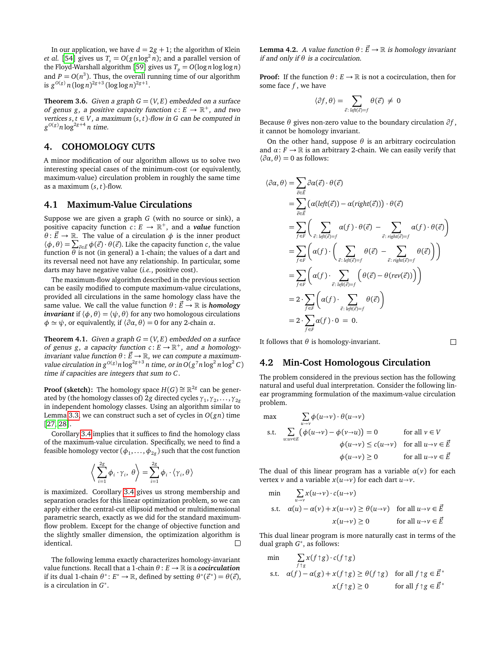In our application, we have  $d = 2g + 1$ ; the algorithm of Klein *et al.* [[54](#page-8-1)] gives us  $T_s = O(gn\log^2 n)$ ; and a parallel version of the Floyd-Warshall algorithm [[59](#page-8-32)] gives us  $T_p = O(\log n \log \log n)$ and  $P = O(n^3)$ . Thus, the overall running time of our algorithm is  $g^{O(g)} n (\log n)^{2g+3} (\log \log n)^{2g+1}$ .

**Theorem 3.6.** Given a graph  $G = (V, E)$  embedded on a surface of genus *g*, a positive capacity function  $c: E \to \mathbb{R}^+$ , and two vertices  $s, t \in V$ , a maximum  $(s, t)$ -flow in G can be computed in  $g^{O(g)}n\log^{2g+4}n$  time.

# **4. COHOMOLOGY CUTS**

A minor modification of our algorithm allows us to solve two interesting special cases of the minimum-cost (or equivalently, maximum-value) circulation problem in roughly the same time as a maximum (*s*, *t*)-flow.

# **4.1 Maximum-Value Circulations**

Suppose we are given a graph *G* (with no source or sink), a positive capacity function  $c: E \to \mathbb{R}^+$ , and a *value* function  $\theta$ :  $\vec{E} \rightarrow \mathbb{R}$ . The value of a circulation  $\phi$  is the inner product  $\langle \phi, \theta \rangle = \sum_{\vec{\epsilon} \in \vec{E}} \phi(\vec{\epsilon}) \cdot \theta(\vec{\epsilon})$ . Like the capacity function *c*, the value function  $\theta$  is not (in general) a 1-chain; the values of a dart and its reversal need not have any relationship. In particular, some darts may have negative value (*i.e.*, positive cost).

The maximum-flow algorithm described in the previous section can be easily modified to compute maximum-value circulations, provided all circulations in the same homology class have the same value. We call the value function  $\theta : \vec{E} \to \mathbb{R}$  is **homology** *invariant* if  $\langle \phi, \theta \rangle = \langle \psi, \theta \rangle$  for any two homologous circulations  $\phi \simeq \psi$ , or equivalently, if  $\langle \partial \alpha, \theta \rangle = 0$  for any 2-chain  $\alpha$ .

<span id="page-5-0"></span>**Theorem 4.1.** Given a graph  $G = (V, E)$  embedded on a surface of genus *g*, a capacity function  $c: E \to \mathbb{R}^+$ , and a homologyinvariant value function  $\theta$  :  $\vec{E} \rightarrow \mathbb{R}$ , we can compute a maximumvalue circulation in  $g^{O(g)}n \log^{2g+3} n$  time, or in  $O(g^7 n \log^2 n \log^2 C)$ time if capacities are integers that sum to *C*.

**Proof (sketch):** The homology space  $H(G) \cong \mathbb{R}^{2g}$  can be generated by (the homology classes of) 2*g* directed cycles *γ*<sup>1</sup> ,*γ*<sup>2</sup> , . . . ,*γ*<sup>2</sup>*<sup>g</sup>* in independent homology classes. Using an algorithm similar to Lemma [3.3,](#page-3-2) we can construct such a set of cycles in  $O(gn)$  time [[27,](#page-7-36) [28](#page-7-37)].

Corollary [3.4](#page-4-1) implies that it suffices to find the homology class of the maximum-value circulation. Specifically, we need to find a feasible homology vector  $(\phi_1,\ldots,\phi_{2g})$  such that the cost function

$$
\bigg\langle \sum_{i=1}^{2g} \phi_i \cdot \gamma_i, \theta \bigg\rangle = \sum_{i=1}^{2g} \phi_i \cdot \langle \gamma_i, \theta \rangle
$$

is maximized. Corollary [3.4](#page-4-1) gives us strong membership and separation oracles for this linear optimization problem, so we can apply either the central-cut ellipsoid method or multidimensional parametric search, exactly as we did for the standard maximumflow problem. Except for the change of objective function and the slightly smaller dimension, the optimization algorithm is identical.  $\Box$ 

The following lemma exactly characterizes homology-invariant value functions. Recall that a 1-chain *θ* : *E* → R is a *cocirculation* if its dual 1-chain  $\theta^*$ :  $E^* \to \mathbb{R}$ , defined by setting  $\theta^*(\vec{e}^*) = \theta(\vec{e})$ , is a circulation in *G* ∗ .

**Lemma 4.2.** A value function  $\theta$ :  $\vec{E} \rightarrow \mathbb{R}$  is homology invariant if and only if *θ* is a cocirculation.

**Proof:** If the function  $\theta$  :  $E \rightarrow \mathbb{R}$  is not a cocirculation, then for some face *f* , we have

$$
\langle \partial f, \theta \rangle = \sum_{\vec{e} : \text{ left}(\vec{e}) = f} \theta(\vec{e}) \neq 0
$$

Because  $\theta$  gives non-zero value to the boundary circulation  $\partial f$ , it cannot be homology invariant.

On the other hand, suppose *θ* is an arbitrary cocirculation and  $\alpha$ :  $F \to \mathbb{R}$  is an arbitrary 2-chain. We can easily verify that  $\langle \partial \alpha, \theta \rangle = 0$  as follows:

$$
\langle \partial \alpha, \theta \rangle = \sum_{\vec{e} \in \vec{E}} \partial \alpha(\vec{e}) \cdot \theta(\vec{e})
$$
  
\n
$$
= \sum_{\vec{e} \in \vec{E}} (\alpha(\text{left}(\vec{e})) - \alpha(\text{right}(\vec{e}))) \cdot \theta(\vec{e})
$$
  
\n
$$
= \sum_{f \in F} (\sum_{\vec{e} : \text{left}(\vec{e}) = f} \alpha(f) \cdot \theta(\vec{e}) - \sum_{\vec{e} : \text{right}(\vec{e}) = f} \alpha(f) \cdot \theta(\vec{e}) )
$$
  
\n
$$
= \sum_{f \in F} (\alpha(f) \cdot \left( \sum_{\vec{e} : \text{left}(\vec{e}) = f} \theta(\vec{e}) - \sum_{\vec{e} : \text{right}(\vec{e}) = f} \theta(\vec{e}) \right))
$$
  
\n
$$
= \sum_{f \in F} (\alpha(f) \cdot \sum_{\vec{e} : \text{left}(\vec{e}) = f} (\theta(\vec{e}) - \theta(\text{rev}(\vec{e}))) )
$$
  
\n
$$
= 2 \cdot \sum_{f \in F} (\alpha(f) \cdot \sum_{\vec{e} : \text{left}(\vec{e}) = f} \theta(\vec{e}) )
$$
  
\n
$$
= 2 \cdot \sum_{f \in F} \alpha(f) \cdot 0 = 0.
$$

It follows that  $\theta$  is homology-invariant.

#### **4.2 Min-Cost Homologous Circulation**

The problem considered in the previous section has the following natural and useful dual interpretation. Consider the following linear programming formulation of the maximum-value circulation problem.

 $\Box$ 

$$
\max \sum_{u \to v} \phi(u \to v) \cdot \theta(u \to v)
$$
\n
$$
\text{s.t.} \quad \sum_{u:uv \in E} (\phi(u \to v) - \phi(v \to u)) = 0 \qquad \text{for all } v \in V
$$
\n
$$
\phi(u \to v) \le c(u \to v) \quad \text{for all } u \to v \in \vec{E}
$$
\n
$$
\phi(u \to v) \ge 0 \qquad \text{for all } u \to v \in \vec{E}
$$

The dual of this linear program has a variable  $\alpha(v)$  for each vertex *v* and a variable  $x(u \rightarrow v)$  for each dart  $u \rightarrow v$ .

$$
\min \sum_{u \to v} x(u \to v) \cdot c(u \to v)
$$
\n
$$
\text{s.t.} \quad \alpha(u) - \alpha(v) + x(u \to v) \ge \theta(u \to v) \quad \text{for all } u \to v \in \vec{E}
$$
\n
$$
x(u \to v) \ge 0 \qquad \qquad \text{for all } u \to v \in \vec{E}
$$

This dual linear program is more naturally cast in terms of the dual graph *G* ∗ , as follows:

$$
\min \quad \sum_{f \uparrow g} x(f \uparrow g) \cdot c(f \uparrow g)
$$
\n
$$
\text{s.t.} \quad \alpha(f) - \alpha(g) + x(f \uparrow g) \ge \theta(f \uparrow g) \quad \text{for all } f \uparrow g \in \vec{E}^*
$$
\n
$$
x(f \uparrow g) \ge 0 \qquad \qquad \text{for all } f \uparrow g \in \vec{E}^*
$$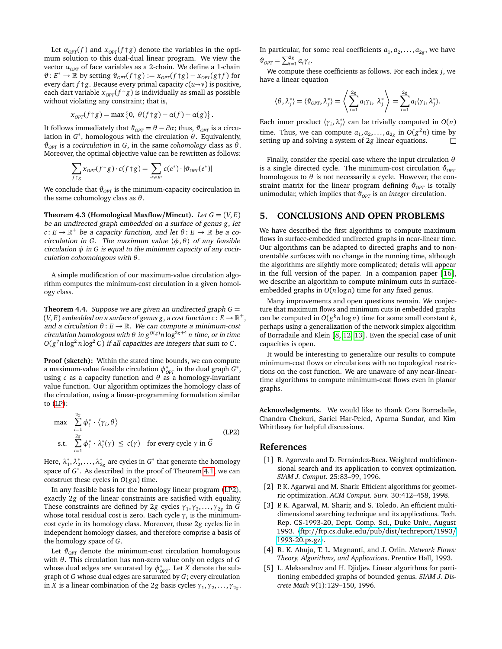Let  $\alpha_{OPT}(f)$  and  $x_{OPT}(f \uparrow g)$  denote the variables in the opti-<br>um solution to this dual dual linear program. We view the mum solution to this dual-dual linear program. We view the vector  $α<sub>OPT</sub>$  of face variables as a 2-chain. We define a 1-chain  $\vartheta$ :  $E^* \to \mathbb{R}$  by setting  $\vartheta_{\text{OPT}}(f \uparrow g) := x_{\text{OPT}}(f \uparrow g) - x_{\text{OPT}}(g \uparrow f)$  for every dart *f*  $\uparrow$  *g*. Because every primal capacity  $c(u \rightarrow v)$  is positive, each dart variable  $x_{OPT}(f \uparrow g)$  is individually as small as possible without violating any constraint: that is without violating any constraint; that is,

$$
x_{OPT}(f \uparrow g) = \max\{0, \ \theta(f \uparrow g) - \alpha(f) + \alpha(g)\}\
$$

.

It follows immediately that  $\vartheta_{OPT} = \theta - \partial \alpha$ ; thus,  $\vartheta_{OPT}$  is a circulation in  $G^*$ , homologous with the circulation  $\theta$ . Equivalently,  $\vartheta_{OPT}$  is a *cocirculation* in *G*, in the same *cohomology* class as *θ*. Moreover, the optimal objective value can be rewritten as follows:

$$
\sum_{f \uparrow g} x_{OPT}(f \uparrow g) \cdot c(f \uparrow g) = \sum_{e^* \in E^*} c(e^*) \cdot |\vartheta_{OPT}(e^*)|
$$

We conclude that  $\vartheta_{OPT}$  is the minimum-capacity cocirculation in the same cohomology class as *θ*.

**Theorem 4.3 (Homological Maxflow/Mincut).** Let  $G = (V, E)$ be an undirected graph embedded on a surface of genus *g*, let  $c: E \to \mathbb{R}^+$  be a capacity function, and let  $\theta: E \to \mathbb{R}$  be a cocirculation in *G*. The maximum value  $\langle \phi, \theta \rangle$  of any feasible circulation *φ* in *G* is equal to the minimum capacity of any cocirculation cohomologous with *θ*.

A simple modification of our maximum-value circulation algorithm computes the minimum-cost circulation in a given homology class.

**Theorem 4.4.** Suppose we are given an undirected graph  $G =$  $(V, E)$  embedded on a surface of genus g , a cost function  $c: E \to \mathbb{R}^+$  , and a circulation  $\theta$  :  $E \to \mathbb{R}$ . We can compute a minimum-cost circulation homologous with  $\theta$  in  $g^{O(g)}n \log^{2g+4} n$  time, or in time  $O(g^7n\log^2 n\log^2 C)$  if all capacities are integers that sum to C.

**Proof (sketch):** Within the stated time bounds, we can compute a maximum-value feasible circulation  $\phi^*_{\textit{OPT}}$  in the dual graph  $G^*$ , using *c* as a capacity function and *θ* as a homology-invariant value function. Our algorithm optimizes the homology class of the circulation, using a linear-programming formulation similar to [\(LP\)](#page-4-0):

$$
\max \sum_{i=1}^{2g} \phi_i^* \cdot \langle \gamma_i, \theta \rangle
$$
\ns.t.

\n
$$
\sum_{i=1}^{2g} \phi_i^* \cdot \lambda_i^*(\gamma) \leq c(\gamma) \quad \text{for every cycle } \gamma \text{ in } \vec{G}
$$
\n(LP2)

Here,  $\lambda_1^*, \lambda_2^*, \ldots, \lambda_{2g}^*$  are cycles in  $G^*$  that generate the homology space of *G*<sup>∗</sup>. As described in the proof of Theorem [4.1,](#page-5-0) we can construct these cycles in *O*(*gn*) time.

In any feasible basis for the homology linear program [\(LP2\)](#page-6-5), exactly 2*g* of the linear constraints are satisfied with equality. These constraints are defined by 2*g* cycles  $\gamma_1, \gamma_2, \ldots, \gamma_{2g}$  in  $\vec{G}$ whose total residual cost is zero. Each cycle *γ<sup>i</sup>* is the minimumcost cycle in its homology class. Moreover, these 2*g* cycles lie in independent homology classes, and therefore comprise a basis of the homology space of *G*.

Let  $\vartheta_{\text{OPT}}$  denote the minimum-cost circulation homologous with *θ*. This circulation has non-zero value only on edges of *G* whose dual edges are saturated by  $\phi^*_{\text{OPT}}$ . Let *X* denote the subgraph of *G* whose dual edges are saturated by *G*; every circulation in *X* is a linear combination of the 2*g* basis cycles  $\gamma_1, \gamma_2, \ldots, \gamma_{2g}$ . In particular, for some real coefficients  $a_1, a_2, \ldots, a_{2g}$ , we have  $\vartheta_{OPT} = \sum_{i=1}^{2g} a_i \gamma_i$ .

We compute these coefficients as follows. For each index *j*, we have a linear equation

$$
\langle \theta, \lambda_j^* \rangle = \langle \vartheta_{OPT}, \lambda_j^* \rangle = \left\langle \sum_{i=1}^{2g} a_i \gamma_i, \lambda_j^* \right\rangle = \sum_{i=1}^{2g} a_i \langle \gamma_i, \lambda_j^* \rangle.
$$

Each inner product  $\langle \gamma_i, \lambda_j^* \rangle$  can be trivially computed in  $O(n)$ time. Thus, we can compute  $a_1, a_2, \ldots, a_{2g}$  in  $O(g^2 n)$  time by setting up and solving a system of 2*g* linear equations. П

Finally, consider the special case where the input circulation *θ* is a single directed cycle. The minimum-cost circulation  $\vartheta_{\text{OPT}}$ homologous to  $\theta$  is not necessarily a cycle. However, the constraint matrix for the linear program defining  $\vartheta_{\text{OPT}}$  is totally unimodular, which implies that  $\vartheta_{\text{OPT}}$  is an *integer* circulation.

# **5. CONCLUSIONS AND OPEN PROBLEMS**

We have described the first algorithms to compute maximum flows in surface-embedded undirected graphs in near-linear time. Our algorithms can be adapted to directed graphs and to nonorentable surfaces with no change in the running time, although the algorithms are slightly more complicated; details will appear in the full version of the paper. In a companion paper [[16](#page-7-17)], we describe an algorithm to compute minimum cuts in surfaceembedded graphs in *O*(*n* log *n*) time for any fixed genus.

Many improvements and open questions remain. We conjecture that maximum flows and minimum cuts in embedded graphs can be computed in  $O(g^k n \log n)$  time for some small constant *k*, perhaps using a generalization of the network simplex algorithm of Borradaile and Klein [[8,](#page-7-14) [12,](#page-7-15) [13](#page-7-16)]. Even the special case of unit capacities is open.

It would be interesting to generalize our results to compute minimum-cost flows or circulations with no topological restrictions on the cost function. We are unaware of any near-lineartime algorithms to compute minimum-cost flows even in planar graphs.

**Acknowledgments.** We would like to thank Cora Borradaile, Chandra Chekuri, Sariel Har-Peled, Aparna Sundar, and Kim Whittlesey for helpful discussions.

#### <span id="page-6-5"></span>**References**

- <span id="page-6-1"></span>[1] R. Agarwala and D. Fernández-Baca. Weighted multidimensional search and its application to convex optimization. *SIAM J. Comput.* 25:83–99, 1996.
- <span id="page-6-3"></span>[2] P. K. Agarwal and M. Sharir. Efficient algorithms for geometric optimization. *ACM Comput. Surv.* 30:412–458, 1998.
- <span id="page-6-4"></span>[3] P. K. Agarwal, M. Sharir, and S. Toledo. An efficient multidimensional searching technique and its applications. Tech. Rep. CS-1993-20, Dept. Comp. Sci., Duke Univ., August 1993. 〈ftp://[ftp.cs.duke.edu](ftp://ftp.cs.duke.edu/pub/dist/techreport/1993/1993-20.ps.gz)/pub/dist/techreport/1993/ [1993-20.ps.gz](ftp://ftp.cs.duke.edu/pub/dist/techreport/1993/1993-20.ps.gz)〉.
- <span id="page-6-0"></span>[4] R. K. Ahuja, T. L. Magnanti, and J. Orlin. *Network Flows: Theory, Algorithms, and Applications*. Prentice Hall, 1993.
- <span id="page-6-2"></span>[5] L. Aleksandrov and H. Djidjev. Linear algorithms for partitioning embedded graphs of bounded genus. *SIAM J. Discrete Math* 9(1):129–150, 1996.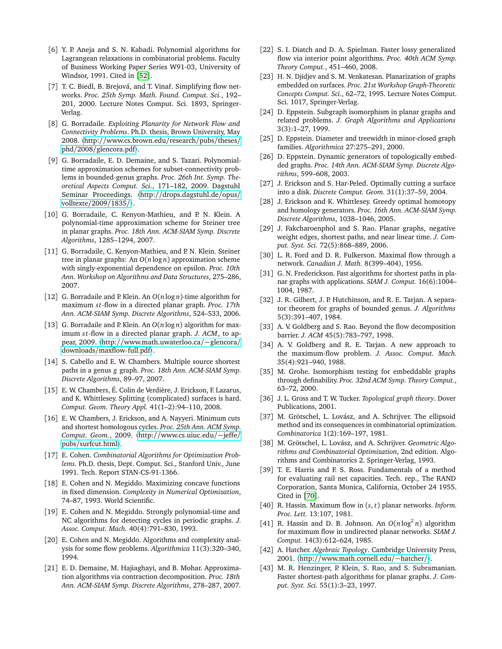- <span id="page-7-34"></span>[6] Y. P. Aneja and S. N. Kabadi. Polynomial algorithms for Lagrangean relaxations in combinatorial problems. Faculty of Business Working Paper Series W91-03, University of Windsor, 1991. Cited in [[52](#page-8-30)].
- <span id="page-7-30"></span>[7] T. C. Biedl, B. Brejová, and T. Vinař. Simplifying flow networks. *Proc. 25th Symp. Math. Found. Comput. Sci.*, 192– 201, 2000. Lecture Notes Comput. Sci. 1893, Springer-Verlag.
- <span id="page-7-14"></span>[8] G. Borradaile. *Exploiting Planarity for Network Flow and Connectivity Problems*. Ph.D. thesis, Brown University, May 2008. 〈http://[www.cs.brown.edu](http://www.cs.brown.edu/research/pubs/theses/phd/2008/glencora.pdf)/research/pubs/theses/ phd/2008/[glencora.pdf](http://www.cs.brown.edu/research/pubs/theses/phd/2008/glencora.pdf)〉.
- <span id="page-7-6"></span>[9] G. Borradaile, E. D. Demaine, and S. Tazari. Polynomialtime approximation schemes for subset-connectivity problems in bounded-genus graphs. *Proc. 26th Int. Symp. Theoretical Aspects Comput. Sci.*, 171–182, 2009. Dagstuhl Seminar Proceedings. 〈http://[drops.dagstuhl.de](http://drops.dagstuhl.de/opus/volltexte/2009/1835/)/opus/ [volltexte](http://drops.dagstuhl.de/opus/volltexte/2009/1835/)/2009/1835/〉.
- <span id="page-7-7"></span>[10] G. Borradaile, C. Kenyon-Mathieu, and P. N. Klein. A polynomial-time approximation scheme for Steiner tree in planar graphs. *Proc. 18th Ann. ACM-SIAM Symp. Discrete Algorithms*, 1285–1294, 2007.
- <span id="page-7-8"></span>[11] G. Borradaile, C. Kenyon-Mathieu, and P. N. Klein. Steiner tree in planar graphs: An *O*(*n* log *n*) approximation scheme with singly-exponential dependence on epsilon. *Proc. 10th Ann. Workshop on Algorithms and Data Structures*, 275–286, 2007.
- <span id="page-7-15"></span>[12] G. Borradaile and P. Klein. An *O*(*n* log *n*)-time algorithm for maximum *st*-flow in a directed planar graph. *Proc.* 17th *Ann. ACM-SIAM Symp. Discrete Algorithms*, 524–533, 2006.
- <span id="page-7-16"></span>[13] G. Borradaile and P. Klein. An *O*(*n* log *n*) algorithm for maximum *s t*-flow in a directed planar graph. *J. ACM*, to appear, 2009. 〈http://[www.math.uwaterloo.ca](http://www.math.uwaterloo.ca/~glencora/downloads/maxflow-full.pdf)/~glencora/ downloads/[maxflow-full.pdf](http://www.math.uwaterloo.ca/~glencora/downloads/maxflow-full.pdf)〉.
- <span id="page-7-0"></span>[14] S. Cabello and E. W. Chambers. Multiple source shortest paths in a genus *g* graph. *Proc. 18th Ann. ACM-SIAM Symp. Discrete Algorithms*, 89–97, 2007.
- <span id="page-7-24"></span>[15] E. W. Chambers, É. Colin de Verdière, J. Erickson, F. Lazarus, and K. Whittlesey. Splitting (complicated) surfaces is hard. *Comput. Geom. Theory Appl.* 41(1–2):94–110, 2008.
- <span id="page-7-17"></span>[16] E. W. Chambers, J. Erickson, and A. Nayyeri. Minimum cuts and shortest homologous cycles. *Proc. 25th Ann. ACM Symp. Comput. Geom.*, 2009. 〈http://[www.cs.uiuc.edu](http://www.cs.uiuc.edu/~jeffe/pubs/surfcut.html)/~jeffe/ pubs/[surfcut.html](http://www.cs.uiuc.edu/~jeffe/pubs/surfcut.html)〉.
- <span id="page-7-31"></span>[17] E. Cohen. *Combinatorial Algorithms for Optimization Problems*. Ph.D. thesis, Dept. Comput. Sci., Stanford Univ., June 1991. Tech. Report STAN-CS-91-1366.
- <span id="page-7-32"></span>[18] E. Cohen and N. Megiddo. Maximizing concave functions in fixed dimension. *Complexity in Numerical Optimization*, 74–87, 1993. World Scientific.
- <span id="page-7-33"></span>[19] E. Cohen and N. Megiddo. Strongly polynomial-time and NC algorithms for detecting cycles in periodic graphs. *J. Assoc. Comput. Mach.* 40(4):791–830, 1993.
- <span id="page-7-35"></span>[20] E. Cohen and N. Megiddo. Algorithms and complexity analysis for some flow problems. *Algorithmica* 11(3):320–340, 1994.
- <span id="page-7-9"></span>[21] E. D. Demaine, M. Hajiaghayi, and B. Mohar. Approximation algorithms via contraction decomposition. *Proc. 18th Ann. ACM-SIAM Symp. Discrete Algorithms*, 278–287, 2007.
- <span id="page-7-20"></span>[22] S. I. Diatch and D. A. Spielman. Faster lossy generalized flow via interior point algorithms. *Proc. 40th ACM Symp. Theory Comput.*, 451–460, 2008.
- <span id="page-7-27"></span>[23] H. N. Djidjev and S. M. Venkatesan. Planarization of graphs embedded on surfaces. *Proc. 21st Workshop Graph-Theoretic Concepts Comput. Sci.*, 62–72, 1995. Lecture Notes Comput. Sci. 1017, Springer-Verlag.
- <span id="page-7-3"></span>[24] D. Eppstein. Subgraph isomorphism in planar graphs and related problems. *J. Graph Algorithms and Applications* 3(3):1–27, 1999.
- <span id="page-7-4"></span>[25] D. Eppstein. Diameter and treewidth in minor-closed graph families. *Algorithmica* 27:275–291, 2000.
- <span id="page-7-29"></span>[26] D. Eppstein. Dynamic generators of topologically embedded graphs. *Proc. 14th Ann. ACM-SIAM Symp. Discrete Algorithms*, 599–608, 2003.
- <span id="page-7-36"></span>[27] J. Erickson and S. Har-Peled. Optimally cutting a surface into a disk. *Discrete Comput. Geom.* 31(1):37–59, 2004.
- <span id="page-7-37"></span>[28] J. Erickson and K. Whittlesey. Greedy optimal homotopy and homology generators. *Proc. 16th Ann. ACM-SIAM Symp. Discrete Algorithms*, 1038–1046, 2005.
- <span id="page-7-1"></span>[29] J. Fakcharoenphol and S. Rao. Planar graphs, negative weight edges, shortest paths, and near linear time. *J. Comput. Syst. Sci.* 72(5):868–889, 2006.
- <span id="page-7-11"></span>[30] L. R. Ford and D. R. Fulkerson. Maximal flow through a network. *Canadian J. Math.* 8(399–404), 1956.
- <span id="page-7-12"></span>[31] G. N. Frederickson. Fast algorithms for shortest paths in planar graphs with applications. *SIAM J. Comput.* 16(6):1004– 1004, 1987.
- <span id="page-7-28"></span>[32] J. R. Gilbert, J. P. Hutchinson, and R. E. Tarjan. A separator theorem for graphs of bounded genus. *J. Algorithms* 5(3):391–407, 1984.
- <span id="page-7-19"></span>[33] A. V. Goldberg and S. Rao. Beyond the flow decomposition barrier. *J. ACM* 45(5):783–797, 1998.
- <span id="page-7-18"></span>[34] A. V. Goldberg and R. E. Tarjan. A new approach to the maximum-flow problem. *J. Assoc. Comput. Mach.* 35(4):921–940, 1988.
- <span id="page-7-5"></span>[35] M. Grohe. Isomorphism testing for embeddable graphs through definability. *Proc. 32nd ACM Symp. Theory Comput.*, 63–72, 2000.
- <span id="page-7-25"></span>[36] J. L. Gross and T. W. Tucker. *Topological graph theory*. Dover Publications, 2001.
- <span id="page-7-23"></span>[37] M. Grötschel, L. Lovász, and A. Schrijver. The ellipsoid method and its consequences in combinatorial optimization. *Combinatorica* 1(2):169–197, 1981.
- <span id="page-7-22"></span>[38] M. Grötschel, L. Lovász, and A. Schrijver. *Geometric Algorithms and Combinatorial Optimization*, 2nd edition. Algorithms and Combinatorics 2. Springer-Verlag, 1993.
- <span id="page-7-10"></span>[39] T. E. Harris and F. S. Ross. Fundamentals of a method for evaluating rail net capacities. Tech. rep., The RAND Corporation, Santa Monica, California, October 24 1955. Cited in [[70](#page-8-33)].
- <span id="page-7-21"></span>[40] R. Hassin. Maximum flow in (*s*, *t*) planar networks. *Inform. Proc. Lett.* 13:107, 1981.
- <span id="page-7-13"></span>[41] R. Hassin and D. B. Johnson. An  $O(n \log^2 n)$  algorithm for maximum flow in undirected planar networks. *SIAM J. Comput.* 14(3):612–624, 1985.
- <span id="page-7-26"></span>[42] A. Hatcher. *Algebraic Topology*. Cambridge University Press, 2001. 〈http://[www.math.cornell.edu](http://www.math.cornell.edu/~hatcher/)/~hatcher/〉.
- <span id="page-7-2"></span>[43] M. R. Henzinger, P. Klein, S. Rao, and S. Subramanian. Faster shortest-path algorithms for planar graphs. *J. Comput. Syst. Sci.* 55(1):3–23, 1997.